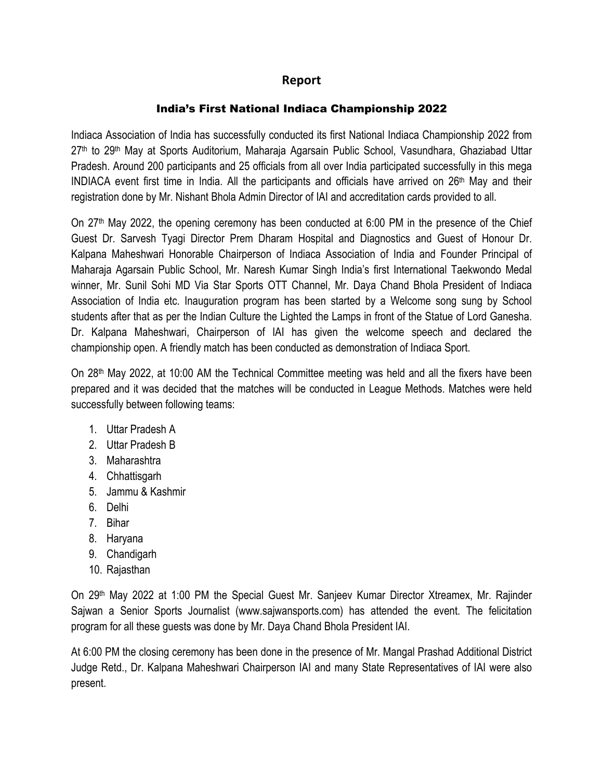## **Report**

## India's First National Indiaca Championship 2022

Indiaca Association of India has successfully conducted its first National Indiaca Championship 2022 from 27th to 29th May at Sports Auditorium, Maharaja Agarsain Public School, Vasundhara, Ghaziabad Uttar Pradesh. Around 200 participants and 25 officials from all over India participated successfully in this mega INDIACA event first time in India. All the participants and officials have arrived on  $26<sup>th</sup>$  May and their registration done by Mr. Nishant Bhola Admin Director of IAI and accreditation cards provided to all.

On 27th May 2022, the opening ceremony has been conducted at 6:00 PM in the presence of the Chief Guest Dr. Sarvesh Tyagi Director Prem Dharam Hospital and Diagnostics and Guest of Honour Dr. Kalpana Maheshwari Honorable Chairperson of Indiaca Association of India and Founder Principal of Maharaja Agarsain Public School, Mr. Naresh Kumar Singh India's first International Taekwondo Medal winner, Mr. Sunil Sohi MD Via Star Sports OTT Channel, Mr. Daya Chand Bhola President of Indiaca Association of India etc. Inauguration program has been started by a Welcome song sung by School students after that as per the Indian Culture the Lighted the Lamps in front of the Statue of Lord Ganesha. Dr. Kalpana Maheshwari, Chairperson of IAI has given the welcome speech and declared the championship open. A friendly match has been conducted as demonstration of Indiaca Sport.

On 28th May 2022, at 10:00 AM the Technical Committee meeting was held and all the fixers have been prepared and it was decided that the matches will be conducted in League Methods. Matches were held successfully between following teams:

- 1. Uttar Pradesh A
- 2. Uttar Pradesh B
- 3. Maharashtra
- 4. Chhattisgarh
- 5. Jammu & Kashmir
- 6. Delhi
- 7. Bihar
- 8. Haryana
- 9. Chandigarh
- 10. Rajasthan

On 29<sup>th</sup> May 2022 at 1:00 PM the Special Guest Mr. Sanjeev Kumar Director Xtreamex, Mr. Rajinder Sajwan a Senior Sports Journalist (www.sajwansports.com) has attended the event. The felicitation program for all these guests was done by Mr. Daya Chand Bhola President IAI.

At 6:00 PM the closing ceremony has been done in the presence of Mr. Mangal Prashad Additional District Judge Retd., Dr. Kalpana Maheshwari Chairperson IAI and many State Representatives of IAI were also present.